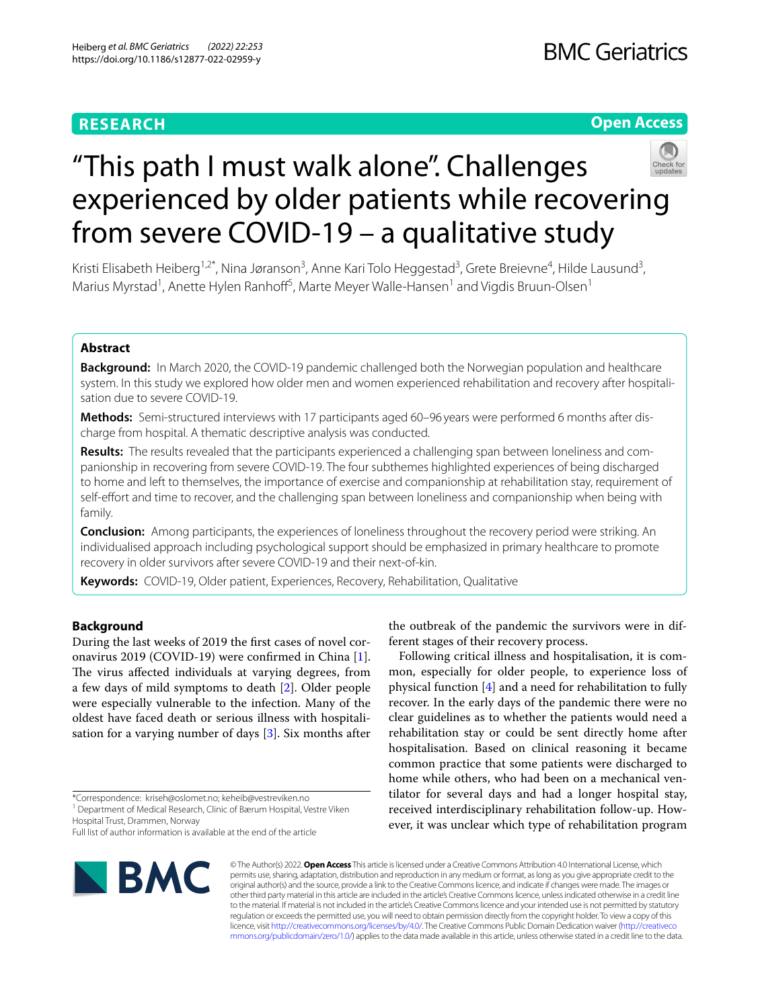# **RESEARCH**

# **Open Access**



# "This path I must walk alone". Challenges experienced by older patients while recovering from severe COVID-19 – a qualitative study

Kristi Elisabeth Heiberg<sup>1,2\*</sup>, Nina Jøranson<sup>3</sup>, Anne Kari Tolo Heggestad<sup>3</sup>, Grete Breievne<sup>4</sup>, Hilde Lausund<sup>3</sup>, Marius Myrstad<sup>1</sup>, Anette Hylen Ranhoff<sup>5</sup>, Marte Meyer Walle-Hansen<sup>1</sup> and Vigdis Bruun-Olsen<sup>1</sup>

# **Abstract**

**Background:** In March 2020, the COVID-19 pandemic challenged both the Norwegian population and healthcare system. In this study we explored how older men and women experienced rehabilitation and recovery after hospitalisation due to severe COVID-19.

Methods: Semi-structured interviews with 17 participants aged 60-96 years were performed 6 months after discharge from hospital. A thematic descriptive analysis was conducted.

Results: The results revealed that the participants experienced a challenging span between loneliness and companionship in recovering from severe COVID-19. The four subthemes highlighted experiences of being discharged to home and left to themselves, the importance of exercise and companionship at rehabilitation stay, requirement of self-efort and time to recover, and the challenging span between loneliness and companionship when being with family.

**Conclusion:** Among participants, the experiences of loneliness throughout the recovery period were striking. An individualised approach including psychological support should be emphasized in primary healthcare to promote recovery in older survivors after severe COVID-19 and their next-of-kin.

**Keywords:** COVID-19, Older patient, Experiences, Recovery, Rehabilitation, Qualitative

# **Background**

During the last weeks of 2019 the frst cases of novel coronavirus 2019 (COVID-19) were confrmed in China [\[1](#page-7-0)]. The virus affected individuals at varying degrees, from a few days of mild symptoms to death [[2\]](#page-7-1). Older people were especially vulnerable to the infection. Many of the oldest have faced death or serious illness with hospitalisation for a varying number of days [\[3](#page-7-2)]. Six months after

\*Correspondence: kriseh@oslomet.no; keheib@vestreviken.no

<sup>1</sup> Department of Medical Research, Clinic of Bærum Hospital, Vestre Viken Hospital Trust, Drammen, Norway

Full list of author information is available at the end of the article



the outbreak of the pandemic the survivors were in different stages of their recovery process.

Following critical illness and hospitalisation, it is common, especially for older people, to experience loss of physical function [[4\]](#page-7-3) and a need for rehabilitation to fully recover. In the early days of the pandemic there were no clear guidelines as to whether the patients would need a rehabilitation stay or could be sent directly home after hospitalisation. Based on clinical reasoning it became common practice that some patients were discharged to home while others, who had been on a mechanical ventilator for several days and had a longer hospital stay, received interdisciplinary rehabilitation follow-up. However, it was unclear which type of rehabilitation program

© The Author(s) 2022. **Open Access** This article is licensed under a Creative Commons Attribution 4.0 International License, which permits use, sharing, adaptation, distribution and reproduction in any medium or format, as long as you give appropriate credit to the original author(s) and the source, provide a link to the Creative Commons licence, and indicate if changes were made. The images or other third party material in this article are included in the article's Creative Commons licence, unless indicated otherwise in a credit line to the material. If material is not included in the article's Creative Commons licence and your intended use is not permitted by statutory regulation or exceeds the permitted use, you will need to obtain permission directly from the copyright holder. To view a copy of this licence, visit [http://creativecommons.org/licenses/by/4.0/.](http://creativecommons.org/licenses/by/4.0/) The Creative Commons Public Domain Dedication waiver ([http://creativeco](http://creativecommons.org/publicdomain/zero/1.0/) [mmons.org/publicdomain/zero/1.0/](http://creativecommons.org/publicdomain/zero/1.0/)) applies to the data made available in this article, unless otherwise stated in a credit line to the data.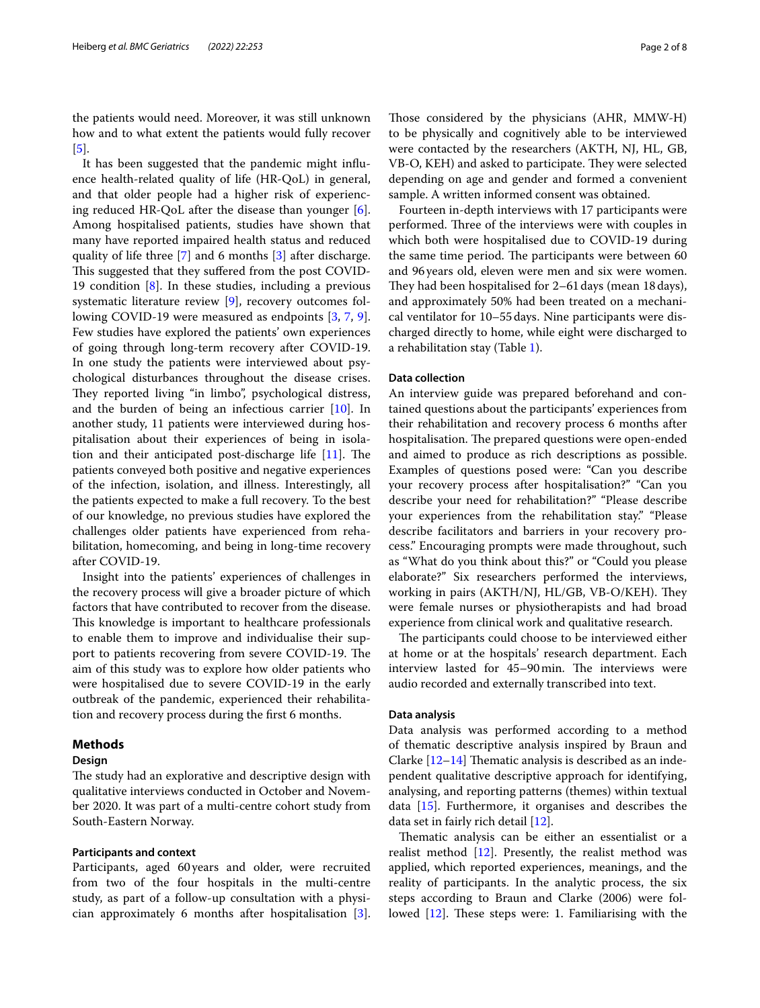the patients would need. Moreover, it was still unknown how and to what extent the patients would fully recover [[5\]](#page-7-4).

It has been suggested that the pandemic might infuence health-related quality of life (HR-QoL) in general, and that older people had a higher risk of experiencing reduced HR-QoL after the disease than younger [\[6](#page-7-5)]. Among hospitalised patients, studies have shown that many have reported impaired health status and reduced quality of life three [[7\]](#page-7-6) and 6 months [\[3](#page-7-2)] after discharge. This suggested that they suffered from the post COVID-19 condition [\[8\]](#page-7-7). In these studies, including a previous systematic literature review [\[9](#page-7-8)], recovery outcomes following COVID-19 were measured as endpoints [[3,](#page-7-2) [7,](#page-7-6) [9](#page-7-8)]. Few studies have explored the patients' own experiences of going through long-term recovery after COVID-19. In one study the patients were interviewed about psychological disturbances throughout the disease crises. They reported living "in limbo", psychological distress, and the burden of being an infectious carrier [\[10\]](#page-7-9). In another study, 11 patients were interviewed during hospitalisation about their experiences of being in isolation and their anticipated post-discharge life  $[11]$  $[11]$ . The patients conveyed both positive and negative experiences of the infection, isolation, and illness. Interestingly, all the patients expected to make a full recovery. To the best of our knowledge, no previous studies have explored the challenges older patients have experienced from rehabilitation, homecoming, and being in long-time recovery after COVID-19.

Insight into the patients' experiences of challenges in the recovery process will give a broader picture of which factors that have contributed to recover from the disease. This knowledge is important to healthcare professionals to enable them to improve and individualise their support to patients recovering from severe COVID-19. The aim of this study was to explore how older patients who were hospitalised due to severe COVID-19 in the early outbreak of the pandemic, experienced their rehabilitation and recovery process during the frst 6 months.

#### **Methods**

## **Design**

The study had an explorative and descriptive design with qualitative interviews conducted in October and November 2020. It was part of a multi-centre cohort study from South-Eastern Norway.

#### **Participants and context**

Participants, aged 60years and older, were recruited from two of the four hospitals in the multi-centre study, as part of a follow-up consultation with a physician approximately 6 months after hospitalisation [\[3](#page-7-2)]. Those considered by the physicians (AHR, MMW-H) to be physically and cognitively able to be interviewed were contacted by the researchers (AKTH, NJ, HL, GB, VB-O, KEH) and asked to participate. They were selected depending on age and gender and formed a convenient sample. A written informed consent was obtained.

Fourteen in-depth interviews with 17 participants were performed. Three of the interviews were with couples in which both were hospitalised due to COVID-19 during the same time period. The participants were between 60 and 96years old, eleven were men and six were women. They had been hospitalised for 2–61 days (mean 18 days), and approximately 50% had been treated on a mechanical ventilator for 10–55days. Nine participants were discharged directly to home, while eight were discharged to a rehabilitation stay (Table [1\)](#page-2-0).

#### **Data collection**

An interview guide was prepared beforehand and contained questions about the participants' experiences from their rehabilitation and recovery process 6 months after hospitalisation. The prepared questions were open-ended and aimed to produce as rich descriptions as possible. Examples of questions posed were: "Can you describe your recovery process after hospitalisation?" "Can you describe your need for rehabilitation?" "Please describe your experiences from the rehabilitation stay." "Please describe facilitators and barriers in your recovery process." Encouraging prompts were made throughout, such as "What do you think about this?" or "Could you please elaborate?" Six researchers performed the interviews, working in pairs (AKTH/NJ, HL/GB, VB-O/KEH). They were female nurses or physiotherapists and had broad experience from clinical work and qualitative research.

The participants could choose to be interviewed either at home or at the hospitals' research department. Each interview lasted for 45–90min. The interviews were audio recorded and externally transcribed into text.

## **Data analysis**

Data analysis was performed according to a method of thematic descriptive analysis inspired by Braun and Clarke  $[12-14]$  $[12-14]$  Thematic analysis is described as an independent qualitative descriptive approach for identifying, analysing, and reporting patterns (themes) within textual data [\[15\]](#page-7-13). Furthermore, it organises and describes the data set in fairly rich detail [[12\]](#page-7-11).

Thematic analysis can be either an essentialist or a realist method [\[12](#page-7-11)]. Presently, the realist method was applied, which reported experiences, meanings, and the reality of participants. In the analytic process, the six steps according to Braun and Clarke (2006) were followed  $[12]$  $[12]$  $[12]$ . These steps were: 1. Familiarising with the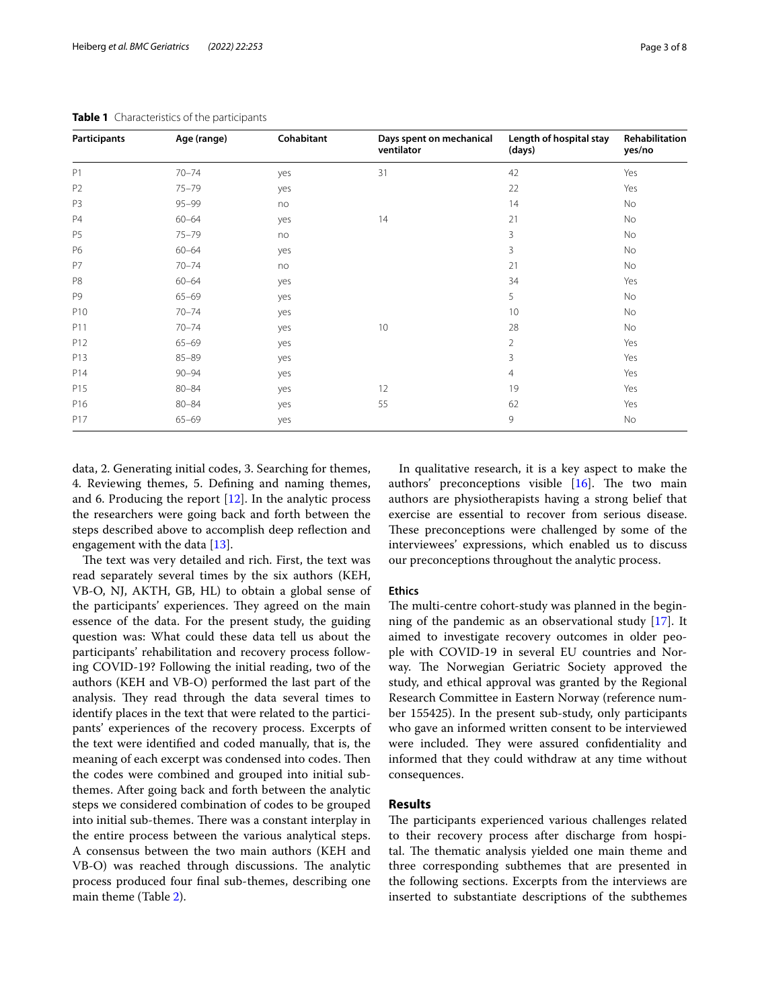| Participants   | Age (range) | Cohabitant | Days spent on mechanical<br>ventilator | Length of hospital stay<br>(days) | Rehabilitation<br>yes/no |
|----------------|-------------|------------|----------------------------------------|-----------------------------------|--------------------------|
| P1             | $70 - 74$   | yes        | 31                                     | 42                                | Yes                      |
| P <sub>2</sub> | $75 - 79$   | yes        |                                        | 22                                | Yes                      |
| P3             | $95 - 99$   | no         |                                        | 14                                | No                       |
| P <sub>4</sub> | $60 - 64$   | yes        | 14                                     | 21                                | No                       |
| P <sub>5</sub> | $75 - 79$   | no         |                                        | 3                                 | No                       |
| P6             | $60 - 64$   | yes        |                                        | 3                                 | No                       |
| <b>P7</b>      | $70 - 74$   | no         |                                        | 21                                | No                       |
| P <sub>8</sub> | $60 - 64$   | yes        |                                        | 34                                | Yes                      |
| P <sub>9</sub> | $65 - 69$   | yes        |                                        | 5                                 | No                       |
| P10            | $70 - 74$   | yes        |                                        | 10                                | No                       |
| P11            | $70 - 74$   | yes        | 10                                     | 28                                | No                       |
| P12            | $65 - 69$   | yes        |                                        | $\overline{2}$                    | <b>Yes</b>               |
| P13            | $85 - 89$   | yes        |                                        | 3                                 | Yes                      |
| P14            | $90 - 94$   | yes        |                                        | 4                                 | Yes                      |
| P15            | $80 - 84$   | yes        | 12                                     | 19                                | Yes                      |
| P16            | $80 - 84$   | yes        | 55                                     | 62                                | Yes                      |
| P17            | $65 - 69$   | yes        |                                        | 9                                 | No                       |

<span id="page-2-0"></span>**Table 1** Characteristics of the participants

data, 2. Generating initial codes, 3. Searching for themes, 4. Reviewing themes, 5. Defning and naming themes, and 6. Producing the report [[12\]](#page-7-11). In the analytic process the researchers were going back and forth between the steps described above to accomplish deep refection and engagement with the data [\[13](#page-7-14)].

The text was very detailed and rich. First, the text was read separately several times by the six authors (KEH, VB-O, NJ, AKTH, GB, HL) to obtain a global sense of the participants' experiences. They agreed on the main essence of the data. For the present study, the guiding question was: What could these data tell us about the participants' rehabilitation and recovery process following COVID-19? Following the initial reading, two of the authors (KEH and VB-O) performed the last part of the analysis. They read through the data several times to identify places in the text that were related to the participants' experiences of the recovery process. Excerpts of the text were identifed and coded manually, that is, the meaning of each excerpt was condensed into codes. Then the codes were combined and grouped into initial subthemes. After going back and forth between the analytic steps we considered combination of codes to be grouped into initial sub-themes. There was a constant interplay in the entire process between the various analytical steps. A consensus between the two main authors (KEH and VB-O) was reached through discussions. The analytic process produced four fnal sub-themes, describing one main theme (Table [2\)](#page-3-0).

In qualitative research, it is a key aspect to make the authors' preconceptions visible  $[16]$  $[16]$ . The two main authors are physiotherapists having a strong belief that exercise are essential to recover from serious disease. These preconceptions were challenged by some of the interviewees' expressions, which enabled us to discuss our preconceptions throughout the analytic process.

#### **Ethics**

The multi-centre cohort-study was planned in the beginning of the pandemic as an observational study [\[17](#page-7-16)]. It aimed to investigate recovery outcomes in older people with COVID-19 in several EU countries and Norway. The Norwegian Geriatric Society approved the study, and ethical approval was granted by the Regional Research Committee in Eastern Norway (reference number 155425). In the present sub-study, only participants who gave an informed written consent to be interviewed were included. They were assured confidentiality and informed that they could withdraw at any time without consequences.

#### **Results**

The participants experienced various challenges related to their recovery process after discharge from hospital. The thematic analysis yielded one main theme and three corresponding subthemes that are presented in the following sections. Excerpts from the interviews are inserted to substantiate descriptions of the subthemes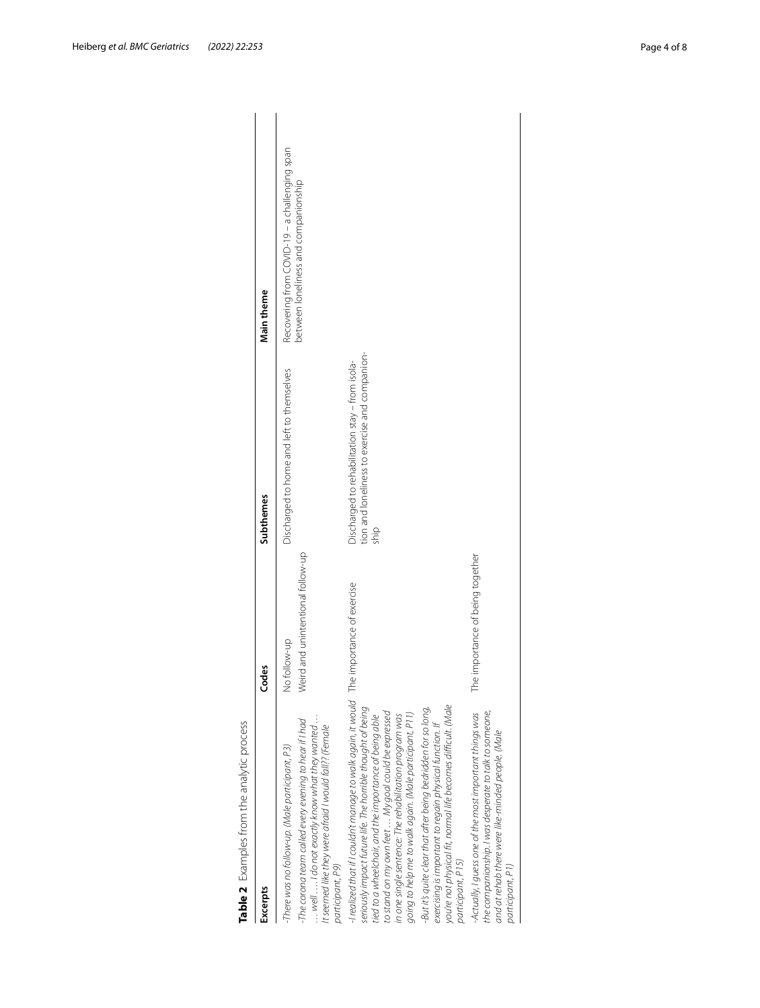<span id="page-3-0"></span>

| Excerpts                                                                                                                                                                                                                                                                                                                                                                                                                                                                                                                                                                                                       | Codes                                             | Subthemes                                                                                                 | Main theme                                                                            |
|----------------------------------------------------------------------------------------------------------------------------------------------------------------------------------------------------------------------------------------------------------------------------------------------------------------------------------------------------------------------------------------------------------------------------------------------------------------------------------------------------------------------------------------------------------------------------------------------------------------|---------------------------------------------------|-----------------------------------------------------------------------------------------------------------|---------------------------------------------------------------------------------------|
| $\ldots$ well $\ldots$ . I do not exactly know what they wanted $\ldots$<br>The corona team called every evening to hear if I had<br>It seemed like they were afraid I would fall?? (Female<br>-There was no follow-up. (Male participant, P3)<br>participant, P9)                                                                                                                                                                                                                                                                                                                                             | Weird and unintentional follow-up<br>No follow-up | Discharged to home and left to themselves                                                                 | Recovering from COVID-19 - a challenging span<br>between loneliness and companionship |
| -I realized that if I couldn't manage to walk again, it would The importance of exercise<br>vou're not physical fit, normal life becomes difficult. (Male<br>seriously impact future life. The horrible thought of being<br>But it's quite clear that after being bedridden for so long,<br>going to help me to walk again. (Male participant, P11)<br>to stand on my own feet  My goal could be expressed<br>tied to a wheelchair, and the importance of being able<br>in one single sentence: The rehabilitation program was<br>exercising is important to regain physical function. If<br>participant, P15) |                                                   | tion and loneliness to exercise and companion-<br>Discharged to rehabilitation stay - from isola-<br>ship |                                                                                       |
| the companionship. I was desperate to talk to someone,<br>-Actually, I guess one of the most important things was<br>and at rehab there were like-minded people. (Male<br>participant, P1)                                                                                                                                                                                                                                                                                                                                                                                                                     | The importance of being together                  |                                                                                                           |                                                                                       |

Heiberg *et al. BMC Geriatrics (2022) 22:253* Page 4 of 8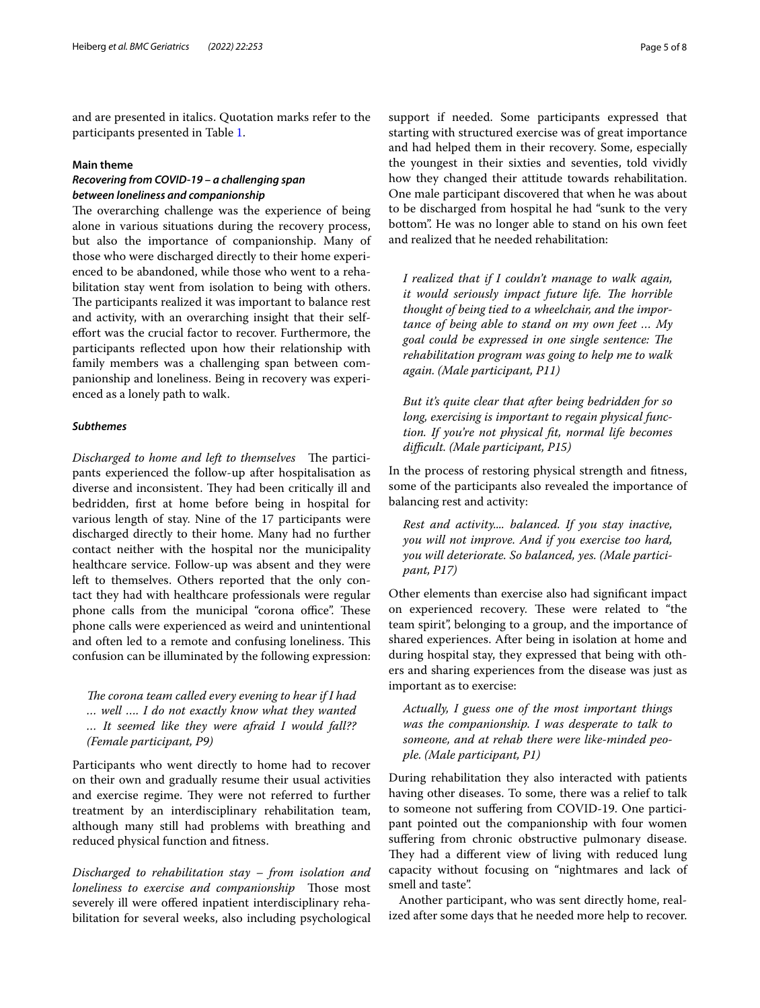and are presented in italics. Quotation marks refer to the participants presented in Table [1](#page-2-0).

# **Main theme**

# *Recovering from COVID‑19 – a challenging span between loneliness and companionship*

The overarching challenge was the experience of being alone in various situations during the recovery process, but also the importance of companionship. Many of those who were discharged directly to their home experienced to be abandoned, while those who went to a rehabilitation stay went from isolation to being with others. The participants realized it was important to balance rest and activity, with an overarching insight that their selfeffort was the crucial factor to recover. Furthermore, the participants refected upon how their relationship with family members was a challenging span between companionship and loneliness. Being in recovery was experienced as a lonely path to walk.

# *Subthemes*

*Discharged to home and left to themselves* The participants experienced the follow-up after hospitalisation as diverse and inconsistent. They had been critically ill and bedridden, frst at home before being in hospital for various length of stay. Nine of the 17 participants were discharged directly to their home. Many had no further contact neither with the hospital nor the municipality healthcare service. Follow-up was absent and they were left to themselves. Others reported that the only contact they had with healthcare professionals were regular phone calls from the municipal "corona office". These phone calls were experienced as weird and unintentional and often led to a remote and confusing loneliness. This confusion can be illuminated by the following expression:

The corona team called every evening to hear if I had *… well …. I do not exactly know what they wanted … It seemed like they were afraid I would fall?? (Female participant, P9)*

Participants who went directly to home had to recover on their own and gradually resume their usual activities and exercise regime. They were not referred to further treatment by an interdisciplinary rehabilitation team, although many still had problems with breathing and reduced physical function and ftness.

*Discharged to rehabilitation stay – from isolation and loneliness to exercise and companionship* Those most severely ill were ofered inpatient interdisciplinary rehabilitation for several weeks, also including psychological support if needed. Some participants expressed that starting with structured exercise was of great importance and had helped them in their recovery. Some, especially the youngest in their sixties and seventies, told vividly how they changed their attitude towards rehabilitation. One male participant discovered that when he was about to be discharged from hospital he had "sunk to the very bottom". He was no longer able to stand on his own feet and realized that he needed rehabilitation:

*I realized that if I couldn't manage to walk again, it would seriously impact future life. The horrible thought of being tied to a wheelchair, and the importance of being able to stand on my own feet … My*  goal could be expressed in one single sentence: The *rehabilitation program was going to help me to walk again. (Male participant, P11)*

*But it's quite clear that after being bedridden for so long, exercising is important to regain physical function. If you're not physical ft, normal life becomes difcult. (Male participant, P15)*

In the process of restoring physical strength and ftness, some of the participants also revealed the importance of balancing rest and activity:

*Rest and activity.... balanced. If you stay inactive, you will not improve. And if you exercise too hard, you will deteriorate. So balanced, yes. (Male participant, P17)*

Other elements than exercise also had signifcant impact on experienced recovery. These were related to "the team spirit", belonging to a group, and the importance of shared experiences. After being in isolation at home and during hospital stay, they expressed that being with others and sharing experiences from the disease was just as important as to exercise:

*Actually, I guess one of the most important things was the companionship. I was desperate to talk to someone, and at rehab there were like-minded people. (Male participant, P1)*

During rehabilitation they also interacted with patients having other diseases. To some, there was a relief to talk to someone not sufering from COVID-19. One participant pointed out the companionship with four women suffering from chronic obstructive pulmonary disease. They had a different view of living with reduced lung capacity without focusing on "nightmares and lack of smell and taste".

Another participant, who was sent directly home, realized after some days that he needed more help to recover.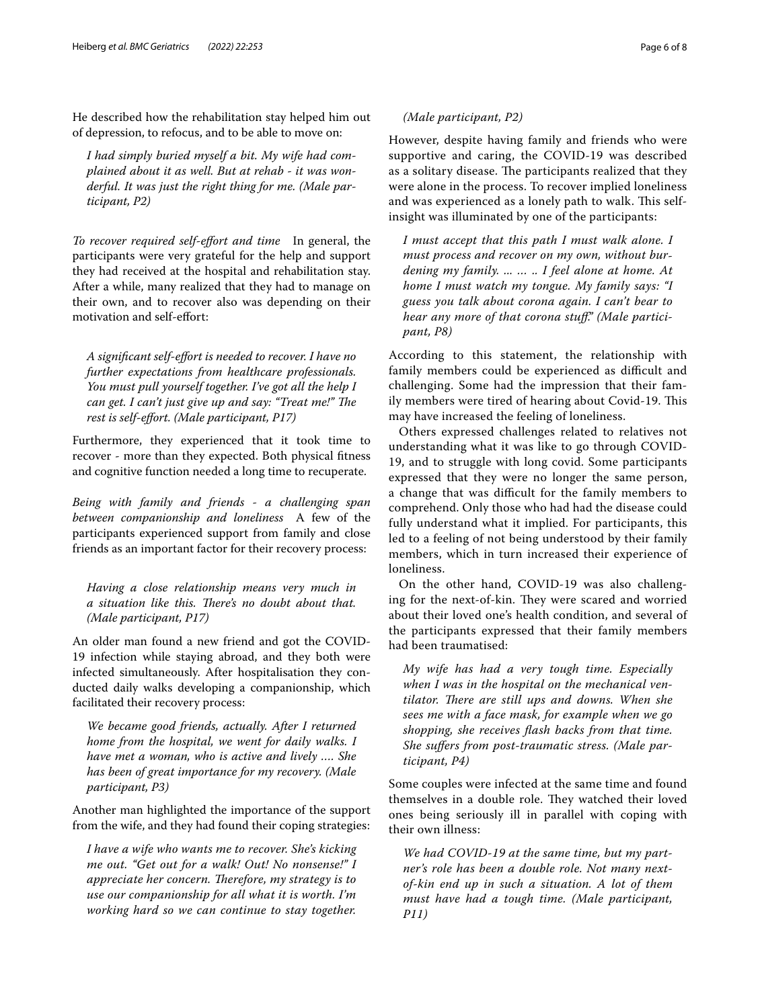He described how the rehabilitation stay helped him out of depression, to refocus, and to be able to move on:

*I had simply buried myself a bit. My wife had complained about it as well. But at rehab - it was wonderful. It was just the right thing for me. (Male participant, P2)*

*To recover required self-efort and time* In general, the participants were very grateful for the help and support they had received at the hospital and rehabilitation stay. After a while, many realized that they had to manage on their own, and to recover also was depending on their motivation and self-efort:

*A signifcant self-efort is needed to recover. I have no further expectations from healthcare professionals. You must pull yourself together. I've got all the help I can get. I can't just give up and say: "Treat me!" The rest is self-efort. (Male participant, P17)*

Furthermore, they experienced that it took time to recover - more than they expected. Both physical ftness and cognitive function needed a long time to recuperate.

*Being with family and friends - a challenging span between companionship and loneliness* A few of the participants experienced support from family and close friends as an important factor for their recovery process:

*Having a close relationship means very much in a situation like this. Tere's no doubt about that. (Male participant, P17)*

An older man found a new friend and got the COVID-19 infection while staying abroad, and they both were infected simultaneously. After hospitalisation they conducted daily walks developing a companionship, which facilitated their recovery process:

*We became good friends, actually. After I returned home from the hospital, we went for daily walks. I have met a woman, who is active and lively …. She has been of great importance for my recovery. (Male participant, P3)*

Another man highlighted the importance of the support from the wife, and they had found their coping strategies:

*I have a wife who wants me to recover. She's kicking me out. "Get out for a walk! Out! No nonsense!" I appreciate her concern. Therefore, my strategy is to use our companionship for all what it is worth. I'm working hard so we can continue to stay together.* 

## *(Male participant, P2)*

However, despite having family and friends who were supportive and caring, the COVID-19 was described as a solitary disease. The participants realized that they were alone in the process. To recover implied loneliness and was experienced as a lonely path to walk. This selfinsight was illuminated by one of the participants:

*I must accept that this path I must walk alone. I must process and recover on my own, without burdening my family. ... … .. I feel alone at home. At home I must watch my tongue. My family says: "I guess you talk about corona again. I can't bear to hear any more of that corona stuf." (Male participant, P8)*

According to this statement, the relationship with family members could be experienced as difficult and challenging. Some had the impression that their family members were tired of hearing about Covid-19. This may have increased the feeling of loneliness.

Others expressed challenges related to relatives not understanding what it was like to go through COVID-19, and to struggle with long covid. Some participants expressed that they were no longer the same person, a change that was difficult for the family members to comprehend. Only those who had had the disease could fully understand what it implied. For participants, this led to a feeling of not being understood by their family members, which in turn increased their experience of loneliness.

On the other hand, COVID-19 was also challenging for the next-of-kin. They were scared and worried about their loved one's health condition, and several of the participants expressed that their family members had been traumatised:

*My wife has had a very tough time. Especially when I was in the hospital on the mechanical ventilator. There are still ups and downs. When she sees me with a face mask, for example when we go shopping, she receives fash backs from that time. She sufers from post-traumatic stress. (Male participant, P4)*

Some couples were infected at the same time and found themselves in a double role. They watched their loved ones being seriously ill in parallel with coping with their own illness:

*We had COVID-19 at the same time, but my partner's role has been a double role. Not many nextof-kin end up in such a situation. A lot of them must have had a tough time. (Male participant, P11)*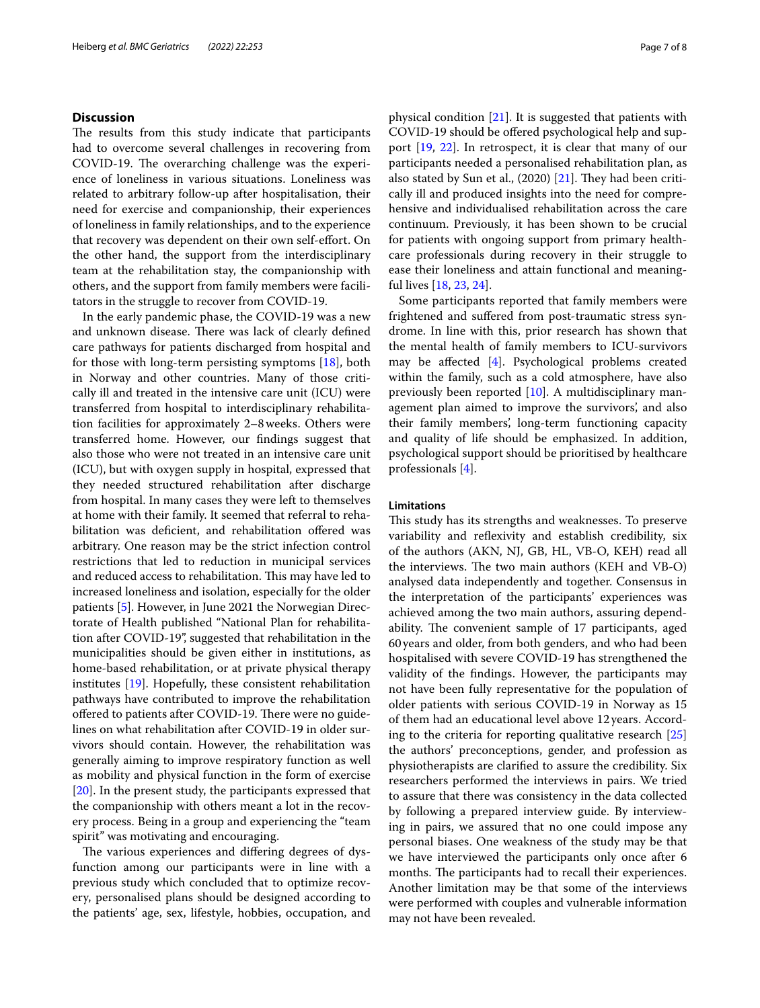# **Discussion**

The results from this study indicate that participants had to overcome several challenges in recovering from COVID-19. The overarching challenge was the experience of loneliness in various situations. Loneliness was related to arbitrary follow-up after hospitalisation, their need for exercise and companionship, their experiences of loneliness in family relationships, and to the experience that recovery was dependent on their own self-efort. On the other hand, the support from the interdisciplinary team at the rehabilitation stay, the companionship with others, and the support from family members were facilitators in the struggle to recover from COVID-19.

In the early pandemic phase, the COVID-19 was a new and unknown disease. There was lack of clearly defined care pathways for patients discharged from hospital and for those with long-term persisting symptoms [\[18](#page-7-17)], both in Norway and other countries. Many of those critically ill and treated in the intensive care unit (ICU) were transferred from hospital to interdisciplinary rehabilitation facilities for approximately 2–8weeks. Others were transferred home. However, our fndings suggest that also those who were not treated in an intensive care unit (ICU), but with oxygen supply in hospital, expressed that they needed structured rehabilitation after discharge from hospital. In many cases they were left to themselves at home with their family. It seemed that referral to rehabilitation was defcient, and rehabilitation ofered was arbitrary. One reason may be the strict infection control restrictions that led to reduction in municipal services and reduced access to rehabilitation. This may have led to increased loneliness and isolation, especially for the older patients [[5\]](#page-7-4). However, in June 2021 the Norwegian Directorate of Health published "National Plan for rehabilitation after COVID-19", suggested that rehabilitation in the municipalities should be given either in institutions, as home-based rehabilitation, or at private physical therapy institutes [\[19](#page-7-18)]. Hopefully, these consistent rehabilitation pathways have contributed to improve the rehabilitation offered to patients after COVID-19. There were no guidelines on what rehabilitation after COVID-19 in older survivors should contain. However, the rehabilitation was generally aiming to improve respiratory function as well as mobility and physical function in the form of exercise [[20\]](#page-7-19). In the present study, the participants expressed that the companionship with others meant a lot in the recovery process. Being in a group and experiencing the "team spirit" was motivating and encouraging.

The various experiences and differing degrees of dysfunction among our participants were in line with a previous study which concluded that to optimize recovery, personalised plans should be designed according to the patients' age, sex, lifestyle, hobbies, occupation, and physical condition [\[21\]](#page-7-20). It is suggested that patients with COVID-19 should be ofered psychological help and support [\[19](#page-7-18), [22\]](#page-7-21). In retrospect, it is clear that many of our participants needed a personalised rehabilitation plan, as also stated by Sun et al.,  $(2020)$   $[21]$  $[21]$ . They had been critically ill and produced insights into the need for comprehensive and individualised rehabilitation across the care continuum. Previously, it has been shown to be crucial for patients with ongoing support from primary healthcare professionals during recovery in their struggle to ease their loneliness and attain functional and meaningful lives [[18](#page-7-17), [23,](#page-7-22) [24](#page-7-23)].

Some participants reported that family members were frightened and sufered from post-traumatic stress syndrome. In line with this, prior research has shown that the mental health of family members to ICU-survivors may be afected [[4\]](#page-7-3). Psychological problems created within the family, such as a cold atmosphere, have also previously been reported [\[10](#page-7-9)]. A multidisciplinary management plan aimed to improve the survivors', and also their family members', long-term functioning capacity and quality of life should be emphasized. In addition, psychological support should be prioritised by healthcare professionals [\[4](#page-7-3)].

#### **Limitations**

This study has its strengths and weaknesses. To preserve variability and refexivity and establish credibility, six of the authors (AKN, NJ, GB, HL, VB-O, KEH) read all the interviews. The two main authors (KEH and VB-O) analysed data independently and together. Consensus in the interpretation of the participants' experiences was achieved among the two main authors, assuring dependability. The convenient sample of 17 participants, aged 60years and older, from both genders, and who had been hospitalised with severe COVID-19 has strengthened the validity of the fndings. However, the participants may not have been fully representative for the population of older patients with serious COVID-19 in Norway as 15 of them had an educational level above 12years. According to the criteria for reporting qualitative research [[25](#page-7-24)] the authors' preconceptions, gender, and profession as physiotherapists are clarifed to assure the credibility. Six researchers performed the interviews in pairs. We tried to assure that there was consistency in the data collected by following a prepared interview guide. By interviewing in pairs, we assured that no one could impose any personal biases. One weakness of the study may be that we have interviewed the participants only once after 6 months. The participants had to recall their experiences. Another limitation may be that some of the interviews were performed with couples and vulnerable information may not have been revealed.